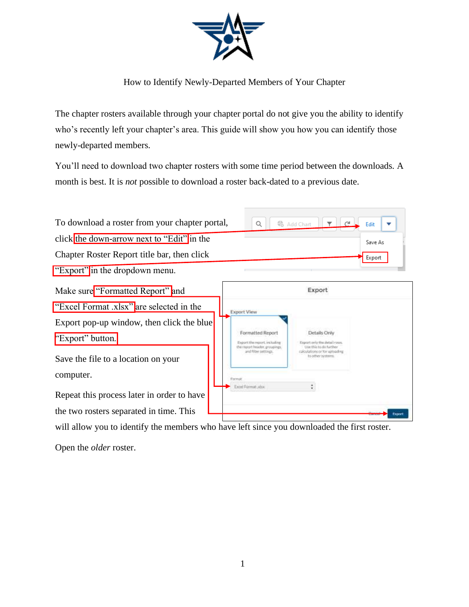

How to Identify Newly-Departed Members of Your Chapter

The chapter rosters available through your chapter portal do not give you the ability to identify who's recently left your chapter's area. This guide will show you how you can identify those newly-departed members.

You'll need to download two chapter rosters with some time period between the downloads. A month is best. It is *not* possible to download a roster back-dated to a previous date.

| To download a roster from your chapter portal,                | Q                                                     | Add Chart                                                                     | Edit    |
|---------------------------------------------------------------|-------------------------------------------------------|-------------------------------------------------------------------------------|---------|
| click the down-arrow next to "Edit" in the                    |                                                       |                                                                               | Save As |
| Chapter Roster Report title bar, then click                   |                                                       |                                                                               | Export  |
| "Export" in the dropdown menu.                                |                                                       |                                                                               |         |
| Make sure "Formatted Report" and                              |                                                       | Export                                                                        |         |
| "Excel Format .xlsx" are selected in the                      | <b>Export View</b>                                    |                                                                               |         |
| Export pop-up window, then click the blue<br>"Export" button. | Formatted Report<br>Export the report, including      | Details Only<br>Export only the initial ruws.                                 |         |
| Save the file to a location on your                           | the report header, proutings.<br>and filter settings. | Use this to do further<br>raktuilations or for uploading<br>to other nystern. |         |
| computer.                                                     | Frannsa                                               |                                                                               |         |
| Repeat this process later in order to have                    | <b>Excel Furmat adsa</b>                              |                                                                               |         |
| the two rosters separated in time. This                       |                                                       |                                                                               |         |

will allow you to identify the members who have left since you downloaded the first roster.

Open the *older* roster.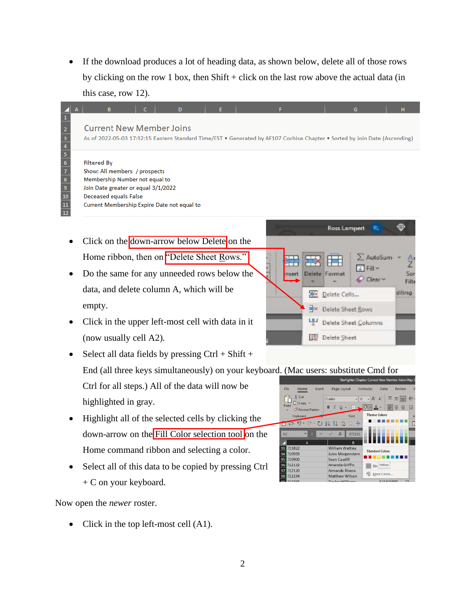If the download produces a lot of heading data, as shown below, delete all of those rows by clicking on the row 1 box, then  $Shift + click$  on the last row above the actual data (in this case, row 12).

## **Current New Member Joins**

As of 2022-05-03 17:32:15 Eastern Standard Time/EST . Generated by AF107 Cochise Chapter . Sorted by Join Date (Ascending)

## **Filtered By**

 $\Delta$ 

 $\begin{array}{r} 2 \\ \hline 3 \\ \hline 4 \\ \hline 5 \\ \hline 6 \\ \hline 7 \\ \end{array}$ 

 $\begin{array}{c|c}\n8 \\
\hline\n9\n\end{array}$ 

 $\overline{10}$ 

 $\frac{11}{12}$ 

Show: All members / prospects Membership Number not equal to Join Date greater or equal 3/1/2022 Deceased equals False Current Membership Expire Date not equal to

- Click on the down-arrow below Delete on the Home ribbon, then on "Delete Sheet Rows."
- Do the same for any unneeded rows below the data, and delete column A, which will be empty.
- Click in the upper left-most cell with data in it (now usually cell A2).

• Select all data fields by pressing  $Ctrl + Shift +$ End (all three keys simultaneously) on your keyboard. (Mac users: substitute Cmd for

Ctrl for all steps.) All of the data will now be highlighted in gray.

- Highlight all of the selected cells by clicking the down-arrow on the Fill Color selection tool on the Home command ribbon and selecting a color.
- Select all of this data to be copied by pressing Ctrl + C on your keyboard.

Now open the *newer* roster.

• Click in the top left-most cell (A1).



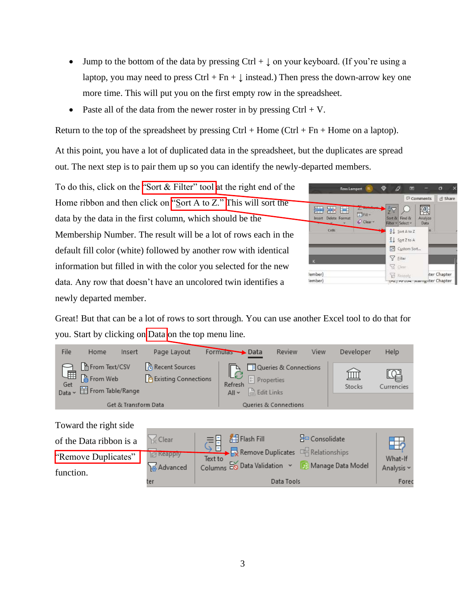- Jump to the bottom of the data by pressing Ctrl +  $\downarrow$  on your keyboard. (If you're using a laptop, you may need to press Ctrl + Fn +  $\downarrow$  instead.) Then press the down-arrow key one more time. This will put you on the first empty row in the spreadsheet.
- Paste all of the data from the newer roster in by pressing  $Ctrl + V$ .

Return to the top of the spreadsheet by pressing  $Ctrl + Home (Ctrl + Fn + Home$  on a laptop).

At this point, you have a lot of duplicated data in the spreadsheet, but the duplicates are spread out. The next step is to pair them up so you can identify the newly-departed members.

To do this, click on the "Sort  $&$  Filter" tool at the right end of the Home ribbon and then click on "Sort A to Z." This will sort the data by the data in the first column, which should be the Membership Number. The result will be a lot of rows each in the default fill color (white) followed by another row with identical information but filled in with the color you selected for the new data. Any row that doesn't have an uncolored twin identifies a newly departed member.

|                                                                                                               | in Share<br>Comments                                            |
|---------------------------------------------------------------------------------------------------------------|-----------------------------------------------------------------|
| 霖<br>岸<br><b>Little Service</b><br>$\overline{v}$ Fill $\sim$<br>Delete Format<br>Insect<br>$O$ Clear $\cdot$ | 尔<br>æ<br>Analyze<br>Sort & Find &<br>Filter v Select v<br>Data |
| Cells                                                                                                         | $\frac{A}{Z}$ Sort A to Z<br>ìs.                                |
|                                                                                                               | $\frac{7}{4}$ Sort Z to A                                       |
|                                                                                                               | 4+ Custom Sort                                                  |
| K                                                                                                             | Y Eiter                                                         |
|                                                                                                               | C Clear                                                         |
| lember)                                                                                                       | ter Chapter<br>Vinnais Ry                                       |
| lember)                                                                                                       | they recove, avarrighter Chapter                                |

Great! But that can be a lot of rows to sort through. You can use another Excel tool to do that for you. Start by clicking on Data on the top menu line.

| File            | Home                                                                                                          | Insert               | Page Layout                                     | Formulas Data      |                                                   | <b>Review</b>                    | View | Developer   | Help       |
|-----------------|---------------------------------------------------------------------------------------------------------------|----------------------|-------------------------------------------------|--------------------|---------------------------------------------------|----------------------------------|------|-------------|------------|
| Get<br>Data ~ ~ | <b>B</b> From Text/CSV<br>$\overline{\boxplus}$ $\overline{\mathbf{a}}$ From Web<br><b>目</b> From Table/Range |                      | Recent Sources<br><b>P</b> Existing Connections | Refresh<br>$All -$ | $\boxed{\frac{a}{b}}$ Properties<br>R. Edit Links | Queries & Connections            |      | Щ<br>Stocks | Currencies |
|                 |                                                                                                               | Get & Transform Data |                                                 |                    |                                                   | <b>Queries &amp; Connections</b> |      |             |            |

## Toward the right side

| of the Data ribbon is a          | 1≤ Clear                        | Flash Fill                                                                                                           | $\frac{B_{\Box}}{B}$ Consolidate |                       |
|----------------------------------|---------------------------------|----------------------------------------------------------------------------------------------------------------------|----------------------------------|-----------------------|
| "Remove Duplicates"<br>function. | <b>R</b> Keapply<br>as Advanced | $\overrightarrow{E}$ Remove Duplicates $\overrightarrow{E}$ Relationships<br>Text to<br>Columns Eo Data Validation v | Manage Data Model                | What-If<br>Analysis ~ |
|                                  | ter                             | Data Tools                                                                                                           |                                  | Forec                 |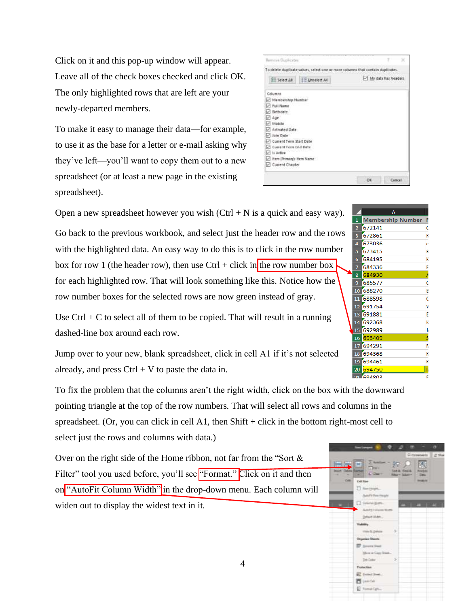Click on it and this pop-up window will appear. Leave all of the check boxes checked and click OK. The only highlighted rows that are left are your newly-departed members.

To make it easy to manage their data—for example, to use it as the base for a letter or e-mail asking why they've left—you'll want to copy them out to a new spreadsheet (or at least a new page in the existing spreadsheet).

|                                                  |                       | To delete duplicate values, select one or more columns that contain duplicates. |
|--------------------------------------------------|-----------------------|---------------------------------------------------------------------------------|
| <b>SE Select AR</b>                              | <b>IE Unielect AI</b> | My data has headers                                                             |
| Columns                                          |                       |                                                                                 |
| Membership Number                                |                       |                                                                                 |
| Full Name                                        |                       |                                                                                 |
| Birthdate                                        |                       |                                                                                 |
| ◡<br>Age                                         |                       |                                                                                 |
| Mobile<br>w                                      |                       |                                                                                 |
| Activated Date                                   |                       |                                                                                 |
| Join Date<br>v                                   |                       |                                                                                 |
| <b>Current Term Start Date</b><br>$\mathbb{R}^d$ |                       |                                                                                 |
| Current Term End Date<br>₽                       |                       |                                                                                 |
| ₽<br><b>It Active</b>                            |                       |                                                                                 |
| Item (Primary): Item Name<br>×                   |                       |                                                                                 |
| Current Chapter                                  |                       |                                                                                 |

Open a new spreadsheet however you wish  $(Ctrl + N$  is a quick and easy way).

Go back to the previous workbook, and select just the header row and the rows with the highlighted data. An easy way to do this is to click in the row number box for row 1 (the header row), then use Ctrl + click in the row number box for each highlighted row. That will look something like this. Notice how the row number boxes for the selected rows are now green instead of gray.

Use  $Ctrl + C$  to select all of them to be copied. That will result in a running dashed-line box around each row.

Jump over to your new, blank spreadsheet, click in cell A1 if it's not selected already, and press  $Ctrl + V$  to paste the data in.

To fix the problem that the columns aren't the right width, click on the box with the downward pointing triangle at the top of the row numbers. That will select all rows and columns in the spreadsheet. (Or, you can click in cell A1, then Shift + click in the bottom right-most cell to select just the rows and columns with data.)

Over on the right side of the Home ribbon, not far from the "Sort & Filter" tool you used before, you'll see "Format." Click on it and then on "AutoFit Column Width" in the drop-down menu. Each column will widen out to display the widest text in it.

|                                               | <b>Instances</b>                           | ×<br>۰                                   | ٠<br>Cl Commercial | ۰<br>254     |
|-----------------------------------------------|--------------------------------------------|------------------------------------------|--------------------|--------------|
| <b>DAN DEC THE</b><br><b>Market</b><br>-<br>۰ | $\Sigma$ Amilian<br><b>CONT</b><br>COw 1   | 如见<br><b>Soth Georg</b><br>Ritary Salary | Data:              |              |
| <b>Call</b>                                   | <b>Cell Size</b>                           |                                          | <b>SHOW IN</b>     |              |
| n                                             | <b>Berger</b>                              |                                          |                    |              |
|                                               | auto for two might                         |                                          |                    |              |
|                                               | $\Omega$ favore giants.                    | <b>PERSONAL</b>                          |                    | <b>START</b> |
|                                               | Adults Column Worth                        |                                          |                    |              |
|                                               | Drive Mdr.                                 |                                          |                    |              |
|                                               |                                            |                                          |                    |              |
|                                               | This & Driver                              | s                                        |                    |              |
|                                               | <b>MASSIN</b><br><b>Chrystolen Streets</b> |                                          |                    |              |
|                                               | <b>EF</b> Severa limit                     |                                          |                    |              |
|                                               | More to Class Steel.                       |                                          |                    |              |
|                                               | <b>Se Calv</b>                             | ×                                        |                    |              |
|                                               | Francisco                                  |                                          |                    |              |
|                                               | El fund live.                              |                                          |                    |              |
|                                               | B Leads                                    |                                          |                    |              |
|                                               | E. Family Co.                              |                                          |                    |              |

**Membership Number** 

2 672141

4 673036

672861

673415

684195

684336

685577

11 688598

12 691754

692989

17 694291

18 694368

19 694461

**FORAPR** 

8

9 10 688270

 $13<sup>°</sup>$ 691881

 $14$ 692368

16 693409

 $20\,$ 694750 F

G

K

**c** 

 $\overline{\mathbf{R}}$ 

K

F

 $\overline{1}$ 

 $\mathsf C$ 

B

 $\epsilon$ 

v

E

K

Jı.

S

Ν

K

K

k

F